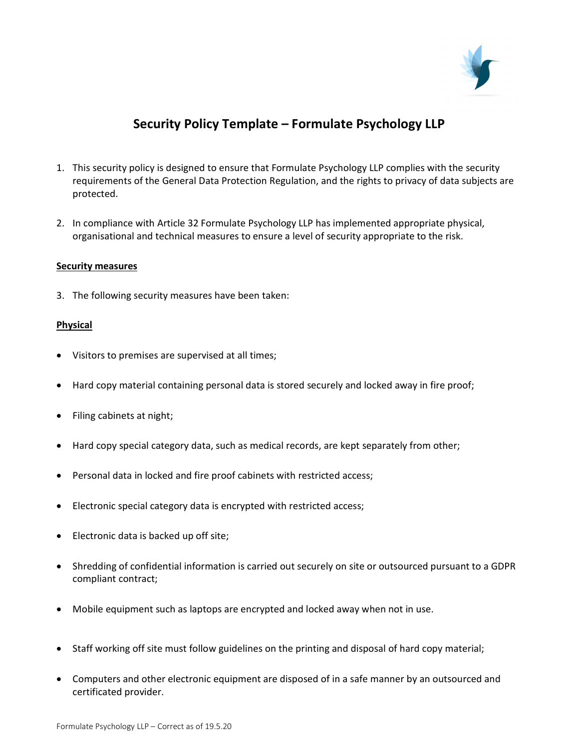

# Security Policy Template – Formulate Psychology LLP

- 1. This security policy is designed to ensure that Formulate Psychology LLP complies with the security requirements of the General Data Protection Regulation, and the rights to privacy of data subjects are protected.
- 2. In compliance with Article 32 Formulate Psychology LLP has implemented appropriate physical, organisational and technical measures to ensure a level of security appropriate to the risk.

#### Security measures

3. The following security measures have been taken:

### **Physical**

- Visitors to premises are supervised at all times;
- Hard copy material containing personal data is stored securely and locked away in fire proof;
- Filing cabinets at night;
- Hard copy special category data, such as medical records, are kept separately from other;
- Personal data in locked and fire proof cabinets with restricted access;
- Electronic special category data is encrypted with restricted access;
- Electronic data is backed up off site;
- Shredding of confidential information is carried out securely on site or outsourced pursuant to a GDPR compliant contract;
- Mobile equipment such as laptops are encrypted and locked away when not in use.
- Staff working off site must follow guidelines on the printing and disposal of hard copy material;
- Computers and other electronic equipment are disposed of in a safe manner by an outsourced and certificated provider.